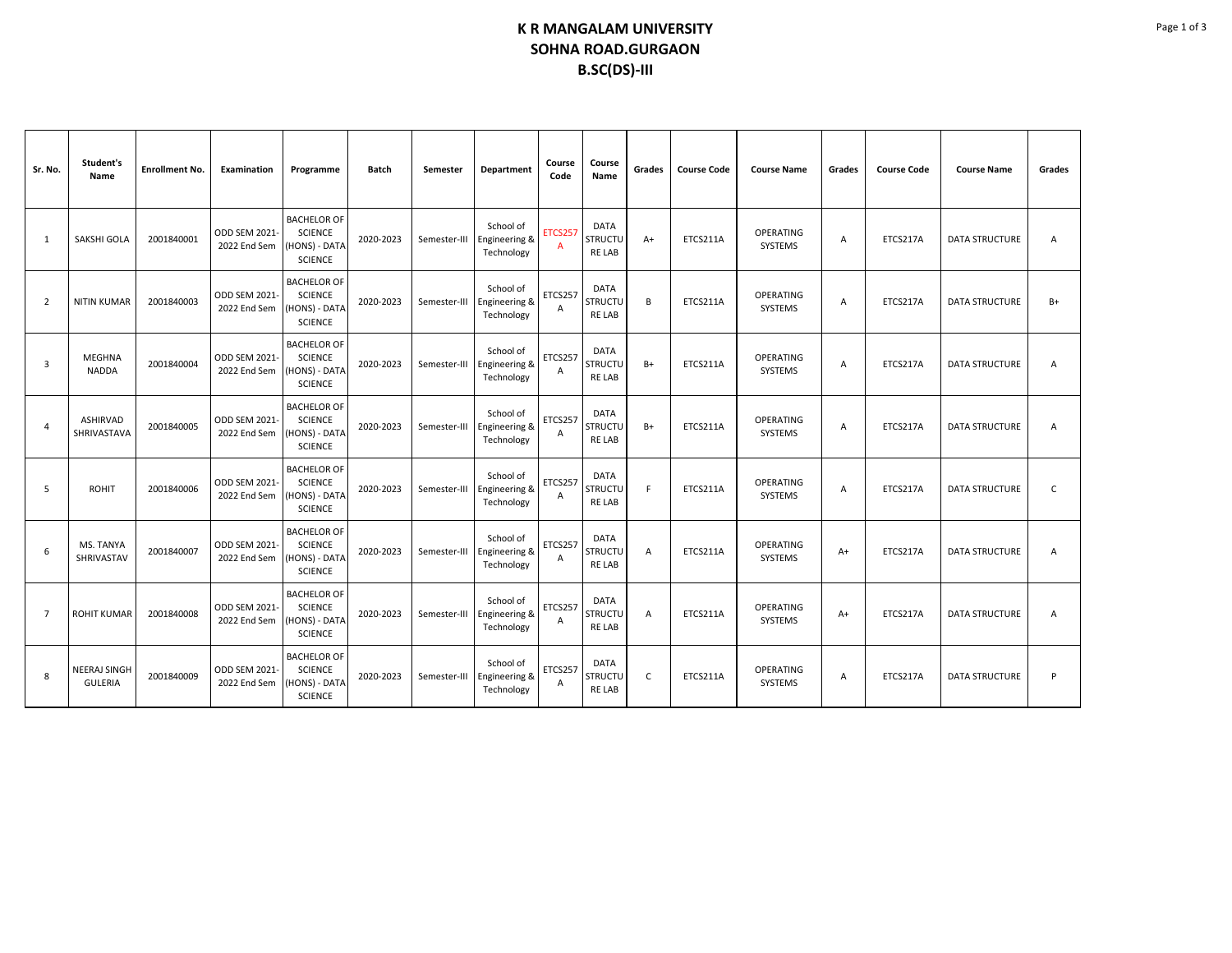## **K R MANGALAM UNIVERSITY SOHNA ROAD.GURGAON B.SC(DS)-III**

| Sr. No.                 | Student's<br>Name                     | <b>Enrollment No.</b> | <b>Examination</b>                   | Programme                                                               | <b>Batch</b> | Semester     | <b>Department</b>                        | Course<br>Code      | Course<br>Name                                 | Grades         | <b>Course Code</b> | <b>Course Name</b>          | Grades         | <b>Course Code</b> | <b>Course Name</b>    | Grades         |
|-------------------------|---------------------------------------|-----------------------|--------------------------------------|-------------------------------------------------------------------------|--------------|--------------|------------------------------------------|---------------------|------------------------------------------------|----------------|--------------------|-----------------------------|----------------|--------------------|-----------------------|----------------|
| 1                       | SAKSHI GOLA                           | 2001840001            | <b>ODD SEM 2021-</b><br>2022 End Sem | <b>BACHELOR OF</b><br><b>SCIENCE</b><br>HONS) - DATA<br><b>SCIENCE</b>  | 2020-2023    | Semester-III | School of<br>Engineering &<br>Technology | <b>ETCS257</b><br>A | <b>DATA</b><br><b>STRUCTU</b><br>RE LAB        | $A+$           | ETCS211A           | <b>OPERATING</b><br>SYSTEMS | Α              | ETCS217A           | <b>DATA STRUCTURE</b> | A              |
| $\overline{2}$          | <b>NITIN KUMAR</b>                    | 2001840003            | ODD SEM 2021<br>2022 End Sem         | <b>BACHELOR OF</b><br><b>SCIENCE</b><br>HONS) - DATA<br><b>SCIENCE</b>  | 2020-2023    | Semester-III | School of<br>Engineering &<br>Technology | ETCS257<br>A        | <b>DATA</b><br><b>STRUCTU</b><br>RE LAB        | B              | ETCS211A           | OPERATING<br>SYSTEMS        | A              | ETCS217A           | <b>DATA STRUCTURE</b> | $B+$           |
| $\overline{\mathbf{3}}$ | <b>MEGHNA</b><br><b>NADDA</b>         | 2001840004            | <b>ODD SEM 2021-</b><br>2022 End Sem | <b>BACHELOR OF</b><br><b>SCIENCE</b><br>HONS) - DATA<br><b>SCIENCE</b>  | 2020-2023    | Semester-III | School of<br>Engineering &<br>Technology | ETCS257<br>A        | <b>DATA</b><br><b>STRUCTU</b><br><b>RELAB</b>  | $B+$           | ETCS211A           | <b>OPERATING</b><br>SYSTEMS | $\overline{A}$ | ETCS217A           | <b>DATA STRUCTURE</b> | $\overline{A}$ |
| $\boldsymbol{\Delta}$   | ASHIRVAD<br>SHRIVASTAVA               | 2001840005            | <b>ODD SEM 2021-</b><br>2022 End Sem | <b>BACHELOR OF</b><br><b>SCIENCE</b><br>(HONS) - DATA<br><b>SCIENCE</b> | 2020-2023    | Semester-III | School of<br>Engineering &<br>Technology | ETCS257<br>A        | <b>DATA</b><br><b>STRUCTU</b><br><b>RELAB</b>  | B+             | ETCS211A           | <b>OPERATING</b><br>SYSTEMS | A              | ETCS217A           | <b>DATA STRUCTURE</b> | A              |
| 5                       | <b>ROHIT</b>                          | 2001840006            | <b>ODD SEM 2021-</b><br>2022 End Sem | <b>BACHELOR OF</b><br><b>SCIENCE</b><br>HONS) - DATA<br><b>SCIENCE</b>  | 2020-2023    | Semester-III | School of<br>Engineering &<br>Technology | ETCS257<br>A        | <b>DATA</b><br><b>STRUCTU</b><br><b>RELAB</b>  | F              | ETCS211A           | <b>OPERATING</b><br>SYSTEMS | A              | ETCS217A           | <b>DATA STRUCTURE</b> | C              |
| 6                       | MS. TANYA<br>SHRIVASTAV               | 2001840007            | ODD SEM 2021<br>2022 End Sem         | <b>BACHELOR OF</b><br><b>SCIENCE</b><br>(HONS) - DATA<br><b>SCIENCE</b> | 2020-2023    | Semester-III | School of<br>Engineering &<br>Technology | ETCS257<br>A        | <b>DATA</b><br><b>STRUCTU</b><br><b>RE LAB</b> | A              | ETCS211A           | OPERATING<br>SYSTEMS        | $A+$           | ETCS217A           | <b>DATA STRUCTURE</b> | A              |
| $\overline{7}$          | <b>ROHIT KUMAR</b>                    | 2001840008            | <b>ODD SEM 2021-</b><br>2022 End Sem | <b>BACHELOR OF</b><br><b>SCIENCE</b><br>HONS) - DATA<br><b>SCIENCE</b>  | 2020-2023    | Semester-III | School of<br>Engineering &<br>Technology | ETCS257<br>A        | <b>DATA</b><br><b>STRUCTU</b><br><b>RELAB</b>  | $\overline{A}$ | ETCS211A           | <b>OPERATING</b><br>SYSTEMS | $A+$           | ETCS217A           | <b>DATA STRUCTURE</b> | $\overline{A}$ |
| 8                       | <b>NEERAJ SINGH</b><br><b>GULERIA</b> | 2001840009            | <b>ODD SEM 2021-</b><br>2022 End Sem | <b>BACHELOR OF</b><br><b>SCIENCE</b><br>HONS) - DATA<br><b>SCIENCE</b>  | 2020-2023    | Semester-III | School of<br>Engineering &<br>Technology | ETCS257<br>Α        | DATA<br><b>STRUCTU</b><br>RE LAB               | $\mathsf{C}$   | ETCS211A           | <b>OPERATING</b><br>SYSTEMS | A              | ETCS217A           | <b>DATA STRUCTURE</b> | P              |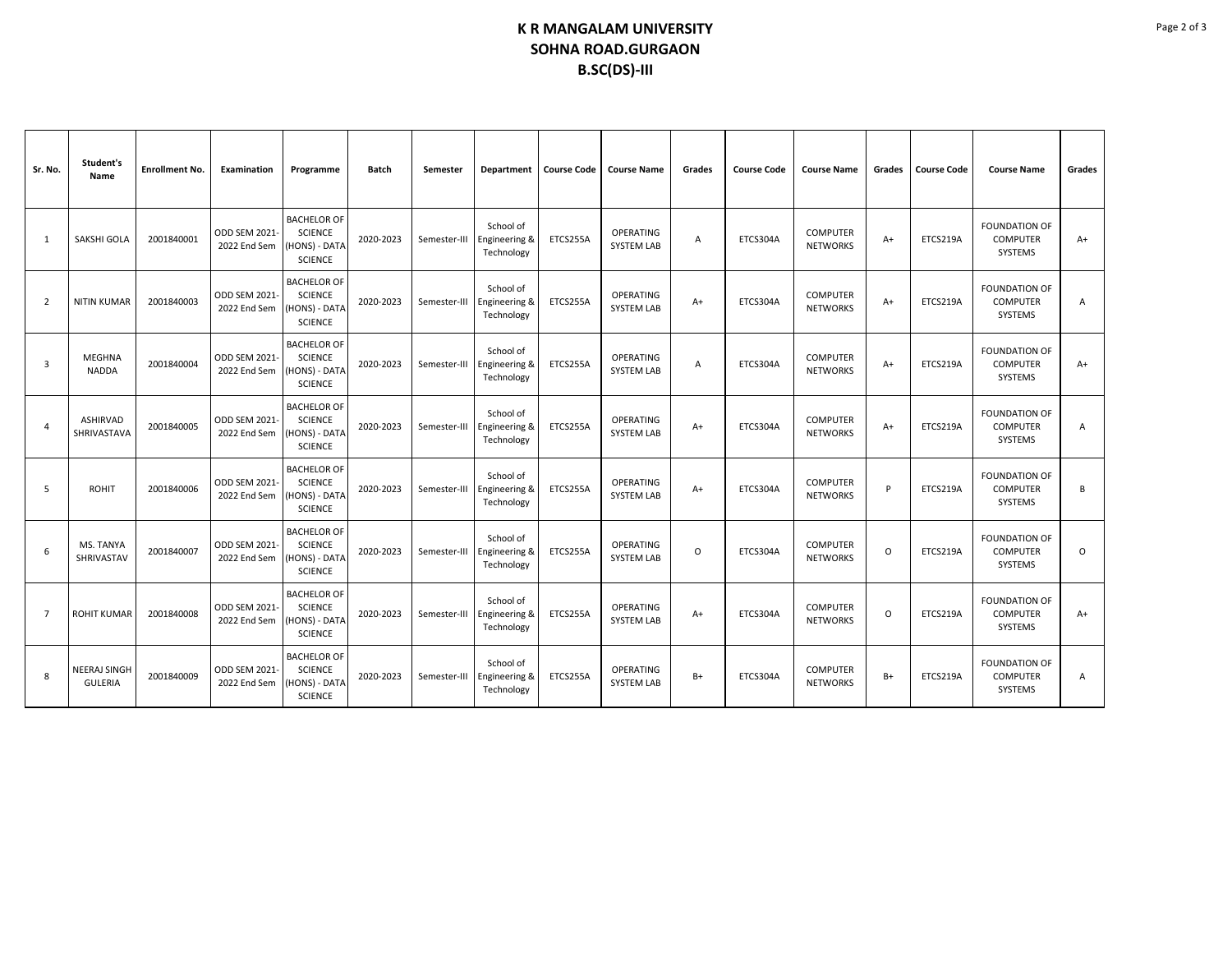## **K R MANGALAM UNIVERSITY SOHNA ROAD.GURGAON B.SC(DS)-III**

| Sr. No.        | Student's<br>Name              | <b>Enrollment No.</b> | Examination                   | Programme                                                              | <b>Batch</b> | Semester     | Department                               | <b>Course Code</b> | <b>Course Name</b>                    | Grades | <b>Course Code</b> | <b>Course Name</b>                 | Grades   | <b>Course Code</b> | <b>Course Name</b>                                 | Grades      |
|----------------|--------------------------------|-----------------------|-------------------------------|------------------------------------------------------------------------|--------------|--------------|------------------------------------------|--------------------|---------------------------------------|--------|--------------------|------------------------------------|----------|--------------------|----------------------------------------------------|-------------|
| 1              | SAKSHI GOLA                    | 2001840001            | ODD SEM 2021-<br>2022 End Sem | <b>BACHELOR OF</b><br><b>SCIENCE</b><br>HONS) - DATA<br><b>SCIENCE</b> | 2020-2023    | Semester-III | School of<br>Engineering &<br>Technology | ETCS255A           | <b>OPERATING</b><br><b>SYSTEM LAB</b> | Α      | ETCS304A           | <b>COMPUTER</b><br><b>NETWORKS</b> | $A+$     | ETCS219A           | <b>FOUNDATION OF</b><br><b>COMPUTER</b><br>SYSTEMS | $A+$        |
| $\overline{2}$ | <b>NITIN KUMAR</b>             | 2001840003            | ODD SEM 2021-<br>2022 End Sem | <b>BACHELOR OF</b><br><b>SCIENCE</b><br>HONS) - DATA<br><b>SCIENCE</b> | 2020-2023    | Semester-III | School of<br>Engineering &<br>Technology | ETCS255A           | OPERATING<br><b>SYSTEM LAB</b>        | $A+$   | ETCS304A           | <b>COMPUTER</b><br><b>NETWORKS</b> | $A+$     | ETCS219A           | <b>FOUNDATION OF</b><br><b>COMPUTER</b><br>SYSTEMS | Α           |
| 3              | <b>MEGHNA</b><br><b>NADDA</b>  | 2001840004            | ODD SEM 2021-<br>2022 End Sem | <b>BACHELOR OF</b><br><b>SCIENCE</b><br>HONS) - DATA<br><b>SCIENCE</b> | 2020-2023    | Semester-III | School of<br>Engineering &<br>Technology | ETCS255A           | <b>OPERATING</b><br><b>SYSTEM LAB</b> | Α      | ETCS304A           | <b>COMPUTER</b><br><b>NETWORKS</b> | $A+$     | ETCS219A           | <b>FOUNDATION OF</b><br><b>COMPUTER</b><br>SYSTEMS | $A+$        |
| $\overline{a}$ | ASHIRVAD<br>SHRIVASTAVA        | 2001840005            | ODD SEM 2021-<br>2022 End Sem | <b>BACHELOR OF</b><br><b>SCIENCE</b><br>HONS) - DATA<br><b>SCIENCE</b> | 2020-2023    | Semester-III | School of<br>Engineering &<br>Technology | ETCS255A           | OPERATING<br><b>SYSTEM LAB</b>        | $A+$   | ETCS304A           | <b>COMPUTER</b><br><b>NETWORKS</b> | $A+$     | ETCS219A           | <b>FOUNDATION OF</b><br><b>COMPUTER</b><br>SYSTEMS | Α           |
| .5             | <b>ROHIT</b>                   | 2001840006            | ODD SEM 2021-<br>2022 End Sem | <b>BACHELOR OF</b><br><b>SCIENCE</b><br>HONS) - DATA<br><b>SCIENCE</b> | 2020-2023    | Semester-III | School of<br>Engineering &<br>Technology | ETCS255A           | OPERATING<br><b>SYSTEM LAB</b>        | $A+$   | ETCS304A           | <b>COMPUTER</b><br><b>NETWORKS</b> | D        | ETCS219A           | <b>FOUNDATION OF</b><br><b>COMPUTER</b><br>SYSTEMS | B           |
| 6              | MS. TANYA<br>SHRIVASTAV        | 2001840007            | ODD SEM 2021-<br>2022 End Sem | <b>BACHELOR OF</b><br><b>SCIENCE</b><br>HONS) - DATA<br><b>SCIENCE</b> | 2020-2023    | Semester-III | School of<br>Engineering &<br>Technology | ETCS255A           | OPERATING<br><b>SYSTEM LAB</b>        | O      | ETCS304A           | <b>COMPUTER</b><br><b>NETWORKS</b> | $\Omega$ | ETCS219A           | <b>FOUNDATION OF</b><br><b>COMPUTER</b><br>SYSTEMS | $\mathsf O$ |
| $\overline{7}$ | <b>ROHIT KUMAR</b>             | 2001840008            | ODD SEM 2021-<br>2022 End Sem | <b>BACHELOR OF</b><br><b>SCIENCE</b><br>HONS) - DATA<br><b>SCIENCE</b> | 2020-2023    | Semester-III | School of<br>Engineering &<br>Technology | ETCS255A           | <b>OPERATING</b><br><b>SYSTEM LAB</b> | $A+$   | ETCS304A           | <b>COMPUTER</b><br><b>NETWORKS</b> | $\circ$  | ETCS219A           | <b>FOUNDATION OF</b><br><b>COMPUTER</b><br>SYSTEMS | $A+$        |
| 8              | NEERAJ SINGH<br><b>GULERIA</b> | 2001840009            | ODD SEM 2021-<br>2022 End Sem | <b>BACHELOR OF</b><br><b>SCIENCE</b><br>HONS) - DATA<br><b>SCIENCE</b> | 2020-2023    | Semester-III | School of<br>Engineering &<br>Technology | ETCS255A           | <b>OPERATING</b><br><b>SYSTEM LAB</b> | $B+$   | ETCS304A           | <b>COMPUTER</b><br><b>NETWORKS</b> | $B+$     | ETCS219A           | <b>FOUNDATION OF</b><br><b>COMPUTER</b><br>SYSTEMS | A           |